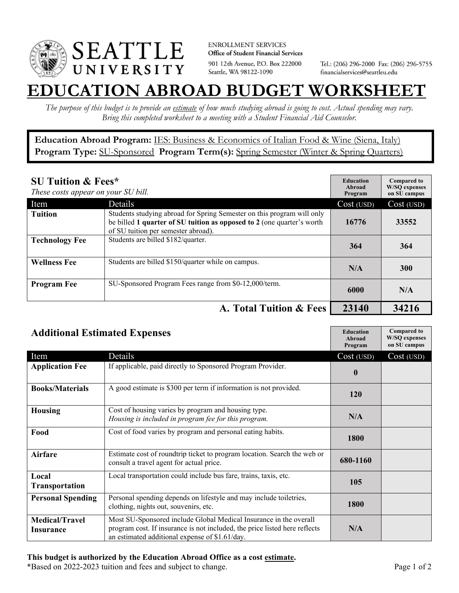

**ENROLLMENT SERVICES** Office of Student Financial Services 901 12th Avenue, P.O. Box 222000 Seattle, WA 98122-1090

Tel.: (206) 296-2000 Fax: (206) 296-5755 financialservices@seattleu.edu

## **EATION ABROAD BUDGET WORKSHEE**

*The purpose of this budget is to provide an estimate of how much studying abroad is going to cost. Actual spending may vary. Bring this completed worksheet to a meeting with a Student Financial Aid Counselor.* 

**Education Abroad Program:** IES: Business & Economics of Italian Food & Wine (Siena, Italy) Program Type: SU-Sponsored Program Term(s): Spring Semester (Winter & Spring Quarters)

| <b>SU Tuition &amp; Fees*</b><br>These costs appear on your SU bill. |                                                                                                                                                                                         | <b>Education</b><br>Abroad<br>Program | <b>Compared to</b><br><b>W/SO</b> expenses<br>on SU campus |
|----------------------------------------------------------------------|-----------------------------------------------------------------------------------------------------------------------------------------------------------------------------------------|---------------------------------------|------------------------------------------------------------|
| Item                                                                 | <b>Details</b>                                                                                                                                                                          | Cost (USD)                            | Cost (USD)                                                 |
| <b>Tuition</b>                                                       | Students studying abroad for Spring Semester on this program will only<br>be billed 1 quarter of SU tuition as opposed to 2 (one quarter's worth<br>of SU tuition per semester abroad). | 16776                                 | 33552                                                      |
| <b>Technology Fee</b>                                                | Students are billed \$182/quarter.                                                                                                                                                      | 364                                   | 364                                                        |
| <b>Wellness Fee</b>                                                  | Students are billed \$150/quarter while on campus.                                                                                                                                      | N/A                                   | <b>300</b>                                                 |
| <b>Program Fee</b>                                                   | SU-Sponsored Program Fees range from \$0-12,000/term.                                                                                                                                   | 6000                                  | N/A                                                        |
|                                                                      | A. Total Tuition & Fees                                                                                                                                                                 | 23140                                 | 34216                                                      |

| <b>Additional Estimated Expenses</b> |                                                                                                                                                                                                   | <b>Education</b><br>Abroad<br>Program | <b>Compared to</b><br><b>W/SQ</b> expenses<br>on SU campus |
|--------------------------------------|---------------------------------------------------------------------------------------------------------------------------------------------------------------------------------------------------|---------------------------------------|------------------------------------------------------------|
| Item                                 | Details                                                                                                                                                                                           | Cost (USD)                            | Cost (USD)                                                 |
| <b>Application Fee</b>               | If applicable, paid directly to Sponsored Program Provider.                                                                                                                                       | $\bf{0}$                              |                                                            |
| <b>Books/Materials</b>               | A good estimate is \$300 per term if information is not provided.                                                                                                                                 | 120                                   |                                                            |
| <b>Housing</b>                       | Cost of housing varies by program and housing type.<br>Housing is included in program fee for this program.                                                                                       | N/A                                   |                                                            |
| Food                                 | Cost of food varies by program and personal eating habits.                                                                                                                                        | 1800                                  |                                                            |
| <b>Airfare</b>                       | Estimate cost of roundtrip ticket to program location. Search the web or<br>consult a travel agent for actual price.                                                                              | 680-1160                              |                                                            |
| Local<br><b>Transportation</b>       | Local transportation could include bus fare, trains, taxis, etc.                                                                                                                                  | 105                                   |                                                            |
| <b>Personal Spending</b>             | Personal spending depends on lifestyle and may include toiletries,<br>clothing, nights out, souvenirs, etc.                                                                                       | 1800                                  |                                                            |
| <b>Medical/Travel</b><br>Insurance   | Most SU-Sponsored include Global Medical Insurance in the overall<br>program cost. If insurance is not included, the price listed here reflects<br>an estimated additional expense of \$1.61/day. | N/A                                   |                                                            |

\*Based on 2022-2023 tuition and fees and subject to change. Page 1 of 2